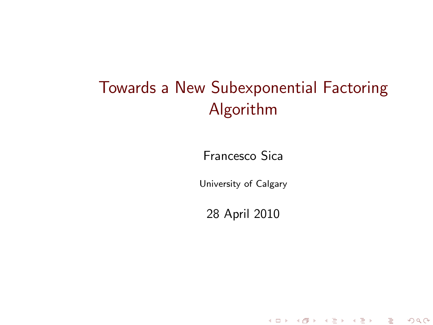# Towards a New Subexponential Factoring Algorithm

Francesco Sica

University of Calgary

<span id="page-0-0"></span>28 April 2010

세미 시세 제품 시 제품 시 제품 시 시 품 시

 $299$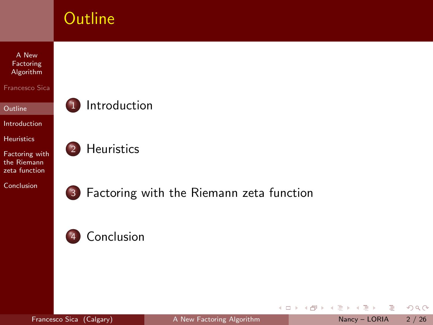

4 0 8

 $\mathcal{A}$  $\mathbf{b}_i$ 

Francesco Sica (Calgary) [A New Factoring Algorithm](#page-0-0) Nancy – LORIA 2 / 26

<span id="page-1-0"></span>Þ  $\sim$  $\rightarrow$  $\mathbb{B}$  + B  $2Q$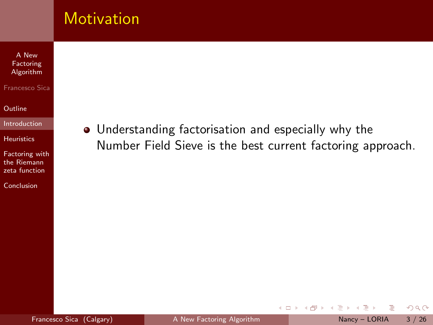### **Motivation**

A New Factoring [Algorithm](#page-0-0)

Francesco Sica

**[Outline](#page-1-0)** 

[Introduction](#page-2-0)

[Heuristics](#page-14-0)

[Factoring with](#page-22-0) the Riemann zeta function

[Conclusion](#page-46-0)

• Understanding factorisation and especially why the Number Field Sieve is the best current factoring approach.

4 0 8

B

<span id="page-2-0"></span> $\mathbf{b}$  $\equiv$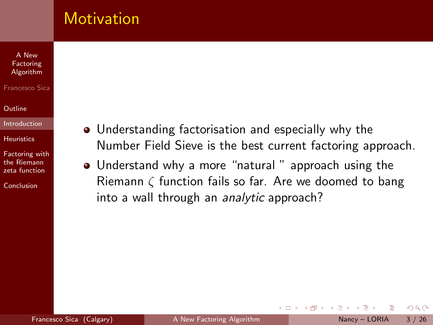### **Motivation**

#### A New Factoring [Algorithm](#page-0-0)

#### Francesco Sica

#### [Outline](#page-1-0)

#### [Introduction](#page-2-0)

**[Heuristics](#page-14-0)** 

[Factoring with](#page-22-0) the Riemann zeta function

**[Conclusion](#page-46-0)** 

- Understanding factorisation and especially why the Number Field Sieve is the best current factoring approach.
- Understand why a more "natural " approach using the Riemann ζ function fails so far. Are we doomed to bang into a wall through an analytic approach?

4 0 8

 $OQ$ 

 $\equiv$   $\rightarrow$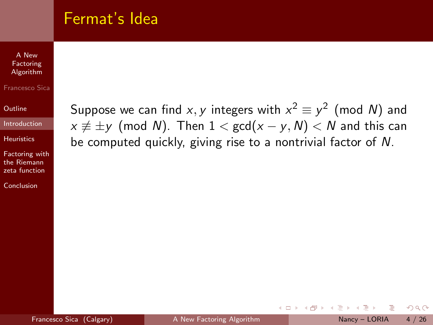### Fermat's Idea

A New Factoring [Algorithm](#page-0-0)

#### Francesco Sica

**[Outline](#page-1-0)** 

[Introduction](#page-2-0)

**[Heuristics](#page-14-0)** 

[Factoring with](#page-22-0) the Riemann zeta function

[Conclusion](#page-46-0)

Suppose we can find  $x,y$  integers with  $x^2\equiv y^2$  (mod  $N)$  and  $x \not\equiv \pm y$  (mod N). Then  $1 < \gcd(x - y, N) < N$  and this can be computed quickly, giving rise to a nontrivial factor of N.

4 D F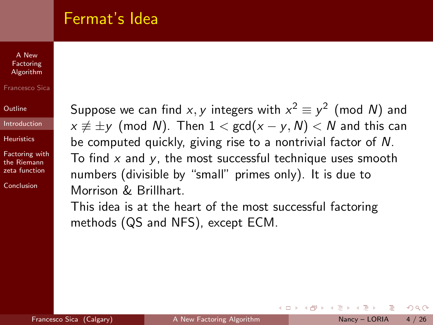### Fermat's Idea

#### A New Factoring [Algorithm](#page-0-0)

#### Francesco Sica

[Outline](#page-1-0)

[Introduction](#page-2-0)

**[Heuristics](#page-14-0)** 

[Factoring with](#page-22-0) the Riemann zeta function

[Conclusion](#page-46-0)

Suppose we can find  $x,y$  integers with  $x^2\equiv y^2$  (mod  $N)$  and  $x \not\equiv \pm y$  (mod N). Then  $1 < \gcd(x - y, N) < N$  and this can be computed quickly, giving rise to a nontrivial factor of N. To find  $x$  and  $y$ , the most successful technique uses smooth numbers (divisible by "small" primes only). It is due to Morrison & Brillhart.

This idea is at the heart of the most successful factoring methods (QS and NFS), except ECM.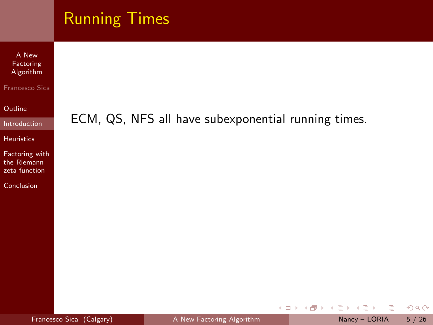|                                                                                                                                                                   | <b>Running Times</b>                                |
|-------------------------------------------------------------------------------------------------------------------------------------------------------------------|-----------------------------------------------------|
| A New<br>Factoring<br>Algorithm<br>Francesco Sica<br>Outline<br>Introduction<br><b>Heuristics</b><br>Factoring with<br>the Riemann<br>zeta function<br>Conclusion | ECM, QS, NFS all have subexponential running times. |
|                                                                                                                                                                   |                                                     |

イロト イ部 トイモト イモト

 $OQ$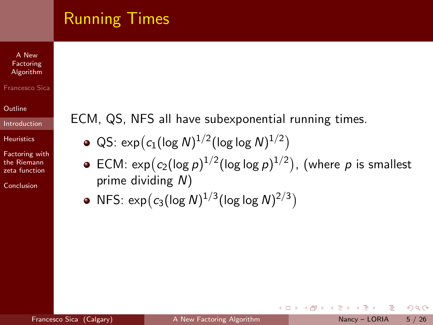# Running Times

A New Factoring [Algorithm](#page-0-0)

#### Francesco Sica

**[Outline](#page-1-0)** 

[Introduction](#page-2-0)

**[Heuristics](#page-14-0)** 

[Factoring with](#page-22-0) the Riemann zeta function

[Conclusion](#page-46-0)

ECM, QS, NFS all have subexponential running times.

- $\textsf{QS: } \exp\big( c_1 (\log \textsf{N})^{1/2} (\log \log \textsf{N})^{1/2} \big)$
- ECM:  $\exp(c_2(\log p)^{1/2}(\log\log p)^{1/2})$ , (where  $p$  is smallest prime dividing N)

4 0 8

NFS:  $\exp(c_3(\log N)^{1/3}(\log \log N)^{2/3})$ 

 $QQ$ 

- 4 重 8 - 4 重 8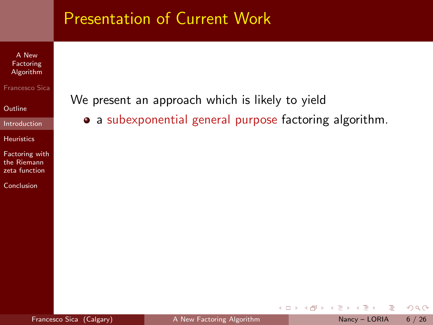A New Factoring [Algorithm](#page-0-0)

Francesco Sica

**[Outline](#page-1-0)** 

[Introduction](#page-2-0)

[Heuristics](#page-14-0)

[Factoring with](#page-22-0) the Riemann zeta function

[Conclusion](#page-46-0)

We present an approach which is likely to yield

• a subexponential general purpose factoring algorithm.

4 0 8

 $\mathcal{A}$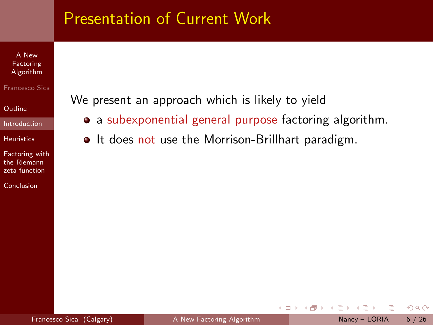A New Factoring [Algorithm](#page-0-0)

#### Francesco Sica

**[Outline](#page-1-0)** 

[Introduction](#page-2-0)

[Heuristics](#page-14-0)

[Factoring with](#page-22-0) the Riemann zeta function

[Conclusion](#page-46-0)

We present an approach which is likely to yield

- a subexponential general purpose factoring algorithm.
- $\bullet$  It does not use the Morrison-Brillhart paradigm.

4 0 8

 $OQ$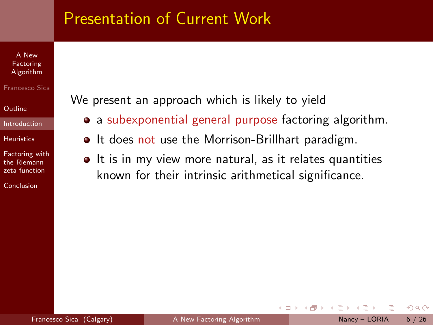#### A New Factoring [Algorithm](#page-0-0)

#### Francesco Sica

[Outline](#page-1-0)

[Introduction](#page-2-0)

**[Heuristics](#page-14-0)** 

[Factoring with](#page-22-0) the Riemann zeta function

[Conclusion](#page-46-0)

We present an approach which is likely to yield

- a subexponential general purpose factoring algorithm.
- It does not use the Morrison-Brillhart paradigm.
- It is in my view more natural, as it relates quantities known for their intrinsic arithmetical significance.

4 **E** F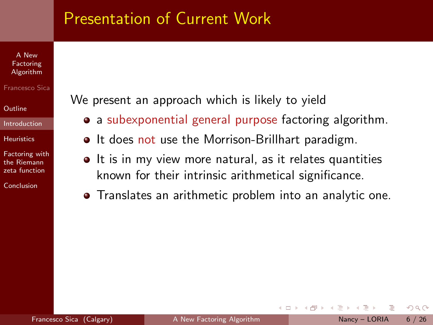#### A New Factoring [Algorithm](#page-0-0)

#### Francesco Sica

[Outline](#page-1-0)

[Introduction](#page-2-0)

**[Heuristics](#page-14-0)** 

[Factoring with](#page-22-0) the Riemann zeta function

[Conclusion](#page-46-0)

We present an approach which is likely to yield

- a subexponential general purpose factoring algorithm.
- It does not use the Morrison-Brillhart paradigm.
- It is in my view more natural, as it relates quantities known for their intrinsic arithmetical significance.
- Translates an arithmetic problem into an analytic one.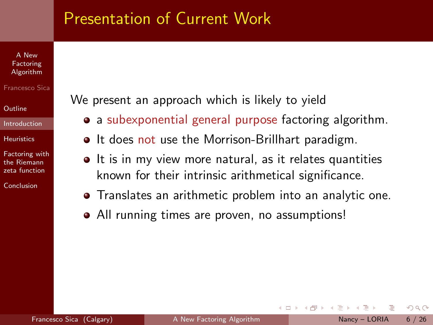#### A New Factoring [Algorithm](#page-0-0)

#### Francesco Sica

#### [Outline](#page-1-0)

#### [Introduction](#page-2-0)

#### **[Heuristics](#page-14-0)**

[Factoring with](#page-22-0) the Riemann zeta function

[Conclusion](#page-46-0)

We present an approach which is likely to yield

- a subexponential general purpose factoring algorithm.
- It does not use the Morrison-Brillhart paradigm.
- $\bullet$  It is in my view more natural, as it relates quantities known for their intrinsic arithmetical significance.
- Translates an arithmetic problem into an analytic one.
- All running times are proven, no assumptions!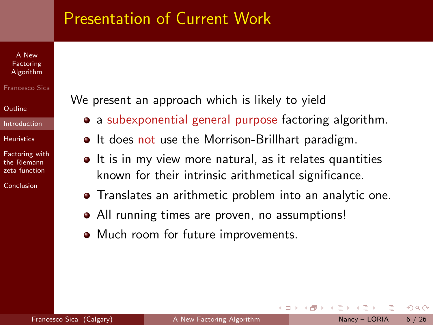#### A New Factoring [Algorithm](#page-0-0)

#### Francesco Sica

#### [Outline](#page-1-0)

#### [Introduction](#page-2-0)

#### **[Heuristics](#page-14-0)**

[Factoring with](#page-22-0) the Riemann zeta function

[Conclusion](#page-46-0)

We present an approach which is likely to yield

- a subexponential general purpose factoring algorithm.
- It does not use the Morrison-Brillhart paradigm.
- $\bullet$  It is in my view more natural, as it relates quantities known for their intrinsic arithmetical significance.
- Translates an arithmetic problem into an analytic one.
- All running times are proven, no assumptions!
- Much room for future improvements.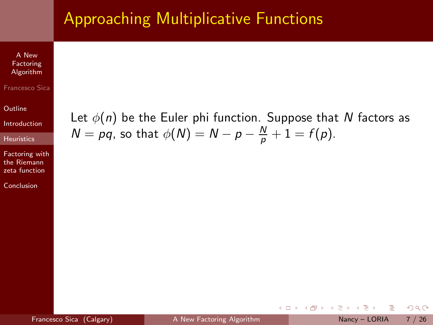## Approaching Multiplicative Functions

A New Factoring [Algorithm](#page-0-0)

#### Francesco Sica

**[Outline](#page-1-0)** 

[Introduction](#page-2-0)

**[Heuristics](#page-14-0)** 

[Factoring with](#page-22-0) the Riemann zeta function

[Conclusion](#page-46-0)

Let  $\phi(n)$  be the Euler phi function. Suppose that N factors as  $N = pq$ , so that  $\phi(N) = N - p - \frac{N}{p} + 1 = f(p)$ .

4 0 8

 $QQ$ 

E.

<span id="page-14-0"></span> $\sim$ **ALC**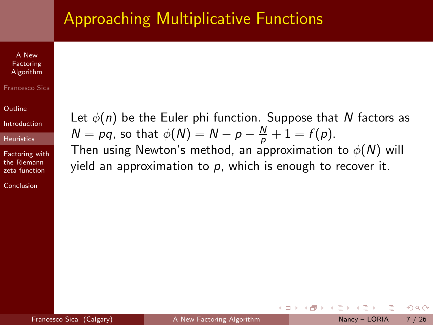## Approaching Multiplicative Functions

A New Factoring [Algorithm](#page-0-0)

#### Francesco Sica

**[Outline](#page-1-0)** 

[Introduction](#page-2-0)

**[Heuristics](#page-14-0)** 

[Factoring with](#page-22-0) the Riemann zeta function

[Conclusion](#page-46-0)

Let  $\phi(n)$  be the Euler phi function. Suppose that N factors as  $N = pq$ , so that  $\phi(N) = N - p - \frac{N}{p} + 1 = f(p)$ .

Then using Newton's method, an approximation to  $\phi(N)$  will yield an approximation to  $p$ , which is enough to recover it.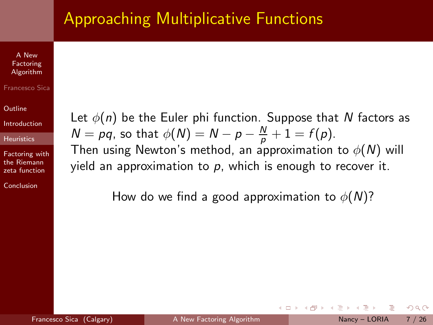## Approaching Multiplicative Functions

A New Factoring [Algorithm](#page-0-0)

#### Francesco Sica

**[Outline](#page-1-0)** 

[Introduction](#page-2-0)

**[Heuristics](#page-14-0)** 

[Factoring with](#page-22-0) the Riemann zeta function

[Conclusion](#page-46-0)

Let  $\phi(n)$  be the Euler phi function. Suppose that N factors as  $N = pq$ , so that  $\phi(N) = N - p - \frac{N}{p} + 1 = f(p)$ .

Then using Newton's method, an approximation to  $\phi(N)$  will yield an approximation to  $p$ , which is enough to recover it.

How do we find a good approximation to  $\phi(N)$ ?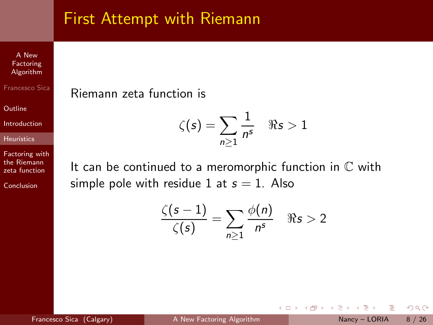### First Attempt with Riemann

A New Factoring [Algorithm](#page-0-0)

Francesco Sica

**[Outline](#page-1-0)** 

[Introduction](#page-2-0)

[Heuristics](#page-14-0)

[Factoring with](#page-22-0) the Riemann zeta function

[Conclusion](#page-46-0)

Riemann zeta function is

$$
\zeta(s) = \sum_{n\geq 1} \frac{1}{n^s} \quad \Re s > 1
$$

It can be continued to a meromorphic function in  $\mathbb C$  with simple pole with residue 1 at  $s = 1$ . Also

$$
\frac{\zeta(s-1)}{\zeta(s)} = \sum_{n\geq 1} \frac{\phi(n)}{n^s} \quad \Re s > 2
$$

4 0 8

Francesco Sica (Calgary) [A New Factoring Algorithm](#page-0-0) Nancy – LORIA 8 / 26

 $OQ$ 

 $\sim$  $\sim$ E.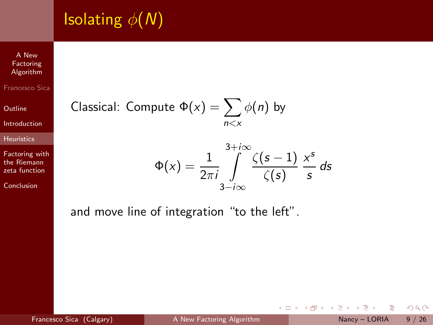# **Isolating**  $\phi(N)$

A New Factoring [Algorithm](#page-0-0)

Francesco Sica

**[Outline](#page-1-0)** 

[Introduction](#page-2-0)

[Heuristics](#page-14-0)

[Factoring with](#page-22-0) the Riemann zeta function

[Conclusion](#page-46-0)

Classical: Compute 
$$
\Phi(x) = \sum_{n \le x} \phi(n)
$$
 by

$$
\Phi(x) = \frac{1}{2\pi i} \int_{3-i\infty}^{3+i\infty} \frac{\zeta(s-1)}{\zeta(s)} \frac{x^s}{s} ds
$$

4 0 8  $\overline{a}$ 

and move line of integration "to the left".

Þ  $\mathbf{h}$  $\prec$  $\mathbb{B}$  + B

 $\rightarrow$  $\triangleleft$   $2Q$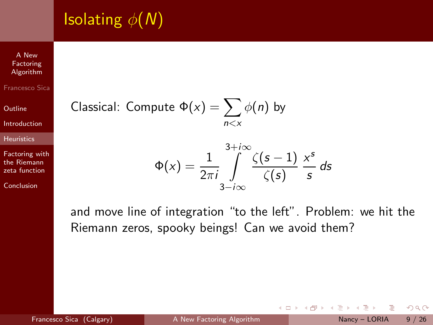# **Isolating**  $\phi(N)$

A New Factoring [Algorithm](#page-0-0)

Francesco Sica

**[Outline](#page-1-0)** 

[Introduction](#page-2-0)

[Heuristics](#page-14-0)

[Factoring with](#page-22-0) the Riemann zeta function

[Conclusion](#page-46-0)

Classical: Compute 
$$
\Phi(x) = \sum_{n \le x} \phi(n)
$$
 by

$$
\Phi(x) = \frac{1}{2\pi i} \int_{3-i\infty}^{3+i\infty} \frac{\zeta(s-1)}{\zeta(s)} \frac{x^s}{s} ds
$$

and move line of integration "to the left". Problem: we hit the Riemann zeros, spooky beings! Can we avoid them?

4 0 8

Francesco Sica (Calgary) [A New Factoring Algorithm](#page-0-0) Nancy – LORIA 9 / 26

 $OQ$ 

 $\mathbf{h}$  $\mathcal{A}$ E.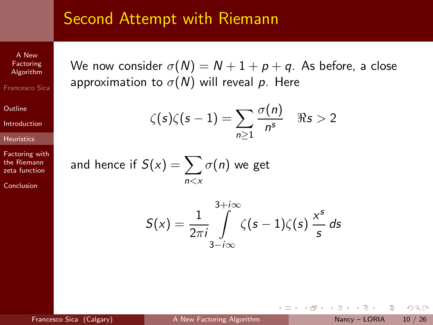### Second Attempt with Riemann

A New Factoring [Algorithm](#page-0-0) Francesco Sica

**[Outline](#page-1-0)** 

[Introduction](#page-2-0)

**[Heuristics](#page-14-0)** 

[Factoring with](#page-22-0) the Riemann zeta function

[Conclusion](#page-46-0)

We now consider  $\sigma(N) = N + 1 + p + q$ . As before, a close approximation to  $\sigma(N)$  will reveal p. Here

$$
\zeta(s)\zeta(s-1)=\sum_{n\geq 1}\frac{\sigma(n)}{n^s}\quad \Re s>2
$$

and hence if  $S(\mathsf{x}) = \sum \sigma(n)$  we get  $n < x$ 

$$
S(x) = \frac{1}{2\pi i} \int_{3-i\infty}^{3+i\infty} \zeta(s-1)\zeta(s) \frac{x^s}{s} ds
$$

 $OQ$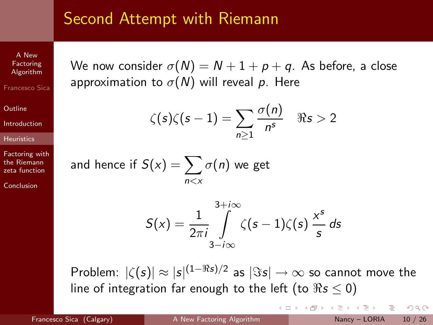### Second Attempt with Riemann

A New Factoring [Algorithm](#page-0-0) Francesco Sica

**[Outline](#page-1-0)** 

[Introduction](#page-2-0)

**[Heuristics](#page-14-0)** 

[Factoring with](#page-22-0) the Riemann zeta function

[Conclusion](#page-46-0)

We now consider  $\sigma(N) = N + 1 + p + q$ . As before, a close approximation to  $\sigma(N)$  will reveal p. Here

$$
\zeta(s)\zeta(s-1)=\sum_{n\geq 1}\frac{\sigma(n)}{n^s}\quad \Re s>2
$$

and hence if  $S(\mathsf{x}) = \sum \sigma(n)$  we get  $n < x$ 

$$
S(x) = \frac{1}{2\pi i} \int_{3-i\infty}^{3+i\infty} \zeta(s-1)\zeta(s) \frac{x^s}{s} ds
$$

Problem:  $|\zeta(s)| \approx |s|^{(1-\Re s)/2}$  as  $|\Im s| \to \infty$  so cannot move the line of integration far enough to the left (to  $\Re s \leq 0$ )

4 D F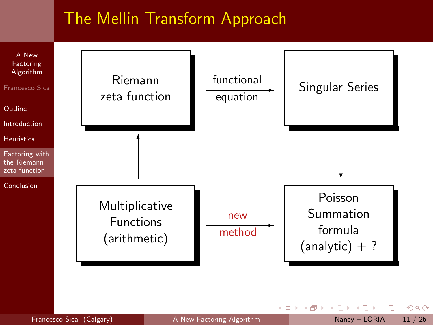### The Mellin Transform Approach



Francesco Sica (Calgary) [A New Factoring Algorithm](#page-0-0) Nancy - LORIA 11 / 26

 $\leftarrow$ 

<span id="page-22-0"></span>

э

 $OQ$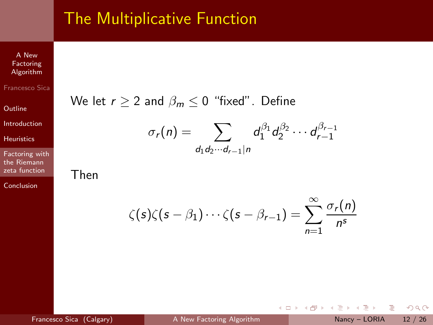### The Multiplicative Function

A New Factoring [Algorithm](#page-0-0)

Francesco Sica

**[Outline](#page-1-0)** 

[Introduction](#page-2-0)

[Heuristics](#page-14-0)

[Factoring with](#page-22-0) the Riemann zeta function

[Conclusion](#page-46-0)

We let  $r \geq 2$  and  $\beta_m \leq 0$  "fixed". Define

$$
\sigma_r(n) = \sum_{d_1d_2\cdots d_{r-1}|n} d_1^{\beta_1} d_2^{\beta_2} \cdots d_{r-1}^{\beta_{r-1}}
$$

Then

$$
\zeta(s)\zeta(s-\beta_1)\cdots\zeta(s-\beta_{r-1})=\sum_{n=1}^{\infty}\frac{\sigma_r(n)}{n^s}
$$

 $\leftarrow$   $\Box$ 

4 何 ▶

B

÷  $\sim$  $\rightarrow$   $2Q$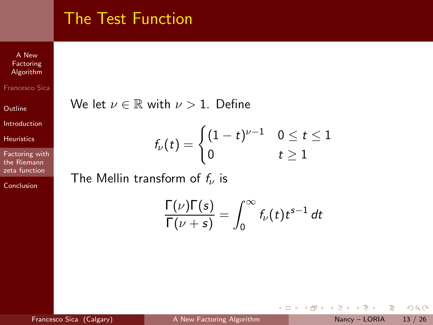### The Test Function

A New **Factoring** [Algorithm](#page-0-0)

Francesco Sica

**[Outline](#page-1-0)** 

[Introduction](#page-2-0)

[Heuristics](#page-14-0)

[Factoring with](#page-22-0) the Riemann zeta function

[Conclusion](#page-46-0)

We let  $\nu \in \mathbb{R}$  with  $\nu > 1$ . Define

$$
f_{\nu}(t)=\begin{cases}(1-t)^{\nu-1} & 0\leq t\leq 1\\ 0 & t\geq 1\end{cases}
$$

The Mellin transform of  $f_{\nu}$  is

$$
\frac{\Gamma(\nu)\Gamma(s)}{\Gamma(\nu+s)}=\int_0^\infty f_\nu(t)t^{s-1}\,dt
$$

4 0 8

→ 母→

B

Þ  $\mathbf{p}$  $\rightarrow \equiv$   $\rightarrow$   $2Q$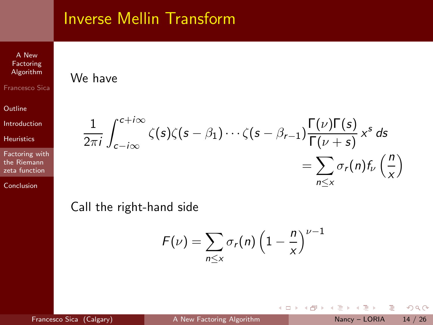### Inverse Mellin Transform

We have

A New Factoring [Algorithm](#page-0-0)

Francesco Sica

**[Outline](#page-1-0)** 

[Introduction](#page-2-0)

**[Heuristics](#page-14-0)** 

[Factoring with](#page-22-0) the Riemann zeta function

[Conclusion](#page-46-0)

#### 1 2πi  $\int^{c+i\infty}$ c−i∞  $\zeta(s)\zeta(s-\beta_1)\cdots\zeta(s-\beta_{r-1})\frac{\Gamma(\nu)\Gamma(s)}{\Gamma(\nu+\varepsilon)}$  $\frac{\Gamma(\nu) \Gamma(s)}{\Gamma(\nu + s)} x^s ds$  $=\sum \sigma_r(n) f_\nu\left(\frac{n}{n}\right)$ n≤x x  $\setminus$

Call the right-hand side

$$
F(\nu) = \sum_{n \leq x} \sigma_r(n) \left(1 - \frac{n}{x}\right)^{\nu - 1}
$$

4 D F

Francesco Sica (Calgary) [A New Factoring Algorithm](#page-0-0) Nancy - LORIA 14 / 26

 $QQ$ 

 $\sim$  $\sim$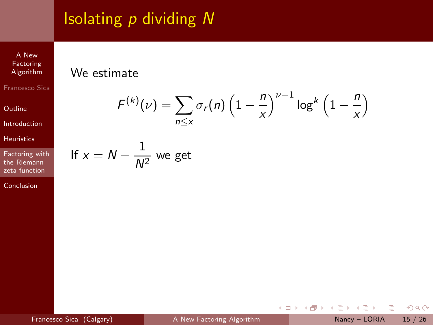# Isolating  $p$  dividing  $N$

A New Factoring [Algorithm](#page-0-0) Francesco Sica

**[Outline](#page-1-0)** 

[Introduction](#page-2-0)

[Heuristics](#page-14-0)

[Factoring with](#page-22-0) the Riemann zeta function

[Conclusion](#page-46-0)

#### We estimate

$$
F^{(k)}(\nu) = \sum_{n \leq x} \sigma_r(n) \left(1 - \frac{n}{x}\right)^{\nu - 1} \log^k \left(1 - \frac{n}{x}\right)
$$

If 
$$
x = N + \frac{1}{N^2}
$$
 we get

÷,

 $2Q$ 

 $\rightarrow$   $\Rightarrow$   $\rightarrow$ 

Þ  $\mathbf{p}$  $\triangleleft$ 

(ロ) (d) →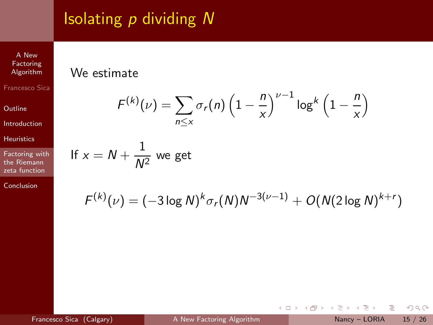# Isolating  $p$  dividing  $N$

A New Factoring [Algorithm](#page-0-0) Francesco Sica

**[Outline](#page-1-0)** 

[Introduction](#page-2-0)

[Heuristics](#page-14-0)

[Factoring with](#page-22-0) the Riemann zeta function

[Conclusion](#page-46-0)

#### We estimate

$$
F^{(k)}(\nu) = \sum_{n \leq x} \sigma_r(n) \left(1 - \frac{n}{x}\right)^{\nu - 1} \log^k \left(1 - \frac{n}{x}\right)
$$

If 
$$
x = N + \frac{1}{N^2}
$$
 we get

$$
F^{(k)}(\nu) = (-3 \log N)^k \sigma_r(N) N^{-3(\nu-1)} + O(N(2 \log N)^{k+r})
$$

÷,

 $2Q$ 

 $\rightarrow \equiv$ 

B  $\mathbf{p}$  $\triangleleft$ 

**4 ロト 4 何 ト**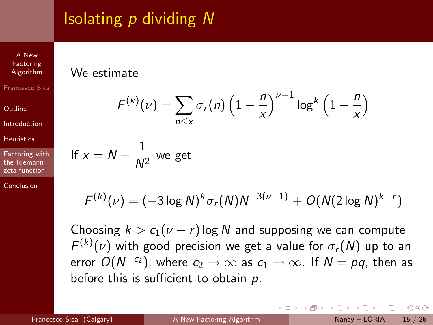# Isolating  $p$  dividing  $N$

A New Factoring [Algorithm](#page-0-0) Francesco Sica

**[Outline](#page-1-0)** 

[Introduction](#page-2-0)

**[Heuristics](#page-14-0)** 

[Factoring with](#page-22-0) the Riemann zeta function

[Conclusion](#page-46-0)

#### We estimate

$$
F^{(k)}(\nu) = \sum_{n \le x} \sigma_r(n) \left(1 - \frac{n}{x}\right)^{\nu - 1} \log^k \left(1 - \frac{n}{x}\right)
$$
  
If  $x = N + \frac{1}{N^2}$  we get

$$
F^{(k)}(\nu) = (-3 \log N)^k \sigma_r(N) N^{-3(\nu-1)} + O(N(2 \log N)^{k+r})
$$

Choosing  $k > c_1(\nu + r)$  log N and supposing we can compute  $F^{(k)}(\nu)$  with good precision we get a value for  $\sigma_r(N)$  up to an error  $O(N^{-c_2})$ , where  $c_2 \to \infty$  as  $c_1 \to \infty$ . If  $N = pq$ , then as before this is sufficient to obtain  $p$ .

Francesco Sica (Calgary) [A New Factoring Algorithm](#page-0-0) Nancy – LORIA 15 / 26

 $QQ$ 

**The Secret State**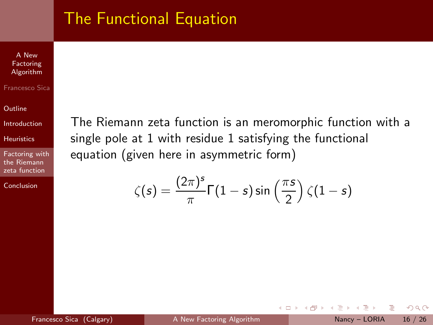### The Functional Equation

A New Factoring [Algorithm](#page-0-0)

#### Francesco Sica

**[Outline](#page-1-0)** 

[Introduction](#page-2-0)

[Heuristics](#page-14-0)

[Factoring with](#page-22-0) the Riemann zeta function

**[Conclusion](#page-46-0)** 

The Riemann zeta function is an meromorphic function with a single pole at 1 with residue 1 satisfying the functional equation (given here in asymmetric form)

$$
\zeta(s) = \frac{(2\pi)^s}{\pi} \Gamma(1-s) \sin\left(\frac{\pi s}{2}\right) \zeta(1-s)
$$

 $OQ$ 

 $\sim$ 

 $-4$ 

4 D F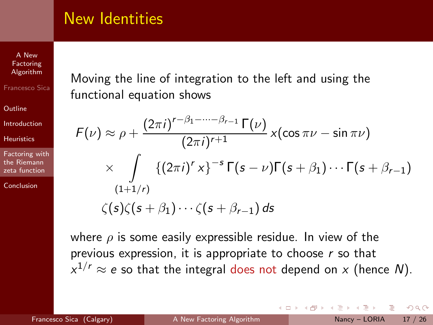### New Identities

A New Factoring [Algorithm](#page-0-0) Francesco Sica

**[Outline](#page-1-0)** 

[Introduction](#page-2-0)

**[Heuristics](#page-14-0)** 

[Factoring with](#page-22-0) the Riemann zeta function

**[Conclusion](#page-46-0)** 

Moving the line of integration to the left and using the functional equation shows

$$
F(\nu) \approx \rho + \frac{(2\pi i)^{r-\beta_1-\cdots-\beta_{r-1}}\Gamma(\nu)}{(2\pi i)^{r+1}} \times (\cos \pi \nu - \sin \pi \nu)
$$
  
 
$$
\times \int_{(1+1/r)} \{(2\pi i)^r \times \}^{-s} \Gamma(s-\nu) \Gamma(s+\beta_1) \cdots \Gamma(s+\beta_{r-1})
$$
  
 
$$
\zeta(s)\zeta(s+\beta_1)\cdots\zeta(s+\beta_{r-1}) ds
$$

where  $\rho$  is some easily expressible residue. In view of the previous expression, it is appropriate to choose  $r$  so that  $x^{1/r} \approx e$  so that the integral does not depend on  $x$  (hence  $N$ ).

4 D F

 $QQ$ 

Barriot Barr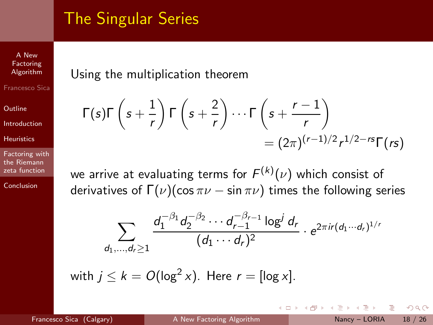## The Singular Series

A New Factoring [Algorithm](#page-0-0) Francesco Sica

**[Outline](#page-1-0)** 

[Introduction](#page-2-0)

**[Heuristics](#page-14-0)** 

[Factoring with](#page-22-0) the Riemann zeta function

[Conclusion](#page-46-0)

#### Using the multiplication theorem

$$
\begin{aligned} \mathcal{L}(s)\Gamma\left(s+\frac{1}{r}\right)\Gamma\left(s+\frac{2}{r}\right)\cdots\Gamma\left(s+\frac{r-1}{r}\right) \\ &=(2\pi)^{(r-1)/2}r^{1/2-rs}\Gamma(rs) \end{aligned}
$$

we arrive at evaluating terms for  $\mathcal{F}^{(k)}(\nu)$  which consist of derivatives of  $\Gamma(\nu)$ (cos  $\pi\nu$  – sin  $\pi\nu$ ) times the following series

$$
\sum_{d_1,\ldots,d_r\geq 1}\frac{d_1^{-\beta_1}d_2^{-\beta_2}\cdots d_{r-1}^{-\beta_{r-1}}\log^j d_r}{(d_1\cdots d_r)^2}\cdot e^{2\pi i r(d_1\cdots d_r)^{1/r}}
$$

with  $j\leq k=O(\log^2x).$  Here  $r=[\log x].$ 

 $Γ$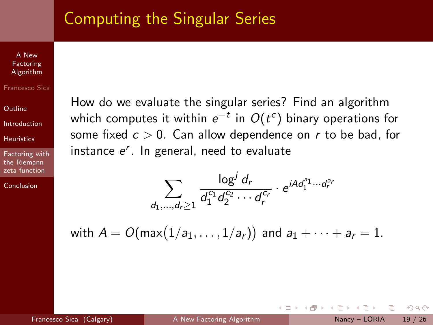### Computing the Singular Series

A New Factoring [Algorithm](#page-0-0)

Francesco Sica

**[Outline](#page-1-0)** 

[Introduction](#page-2-0)

[Heuristics](#page-14-0)

[Factoring with](#page-22-0) the Riemann zeta function

[Conclusion](#page-46-0)

How do we evaluate the singular series? Find an algorithm which computes it within  $e^{-t}$  in  $O(t^c)$  binary operations for some fixed  $c > 0$ . Can allow dependence on r to be bad, for instance  $e^r$ . In general, need to evaluate

$$
\sum_{d_1,...,d_r\geq 1} \frac{\log^j d_r}{d_1^{c_1} d_2^{c_2} \cdots d_r^{c_r}} \cdot e^{iA d_1^{a_1} \cdots d_r^{a_r}}
$$

with  $A=O(\textsf{max}\big(1/a_1,\ldots,1/a_r)\big)$  and  $a_1+\cdots+a_r=1.$ 

 $QQ$ 

ミメ メラメ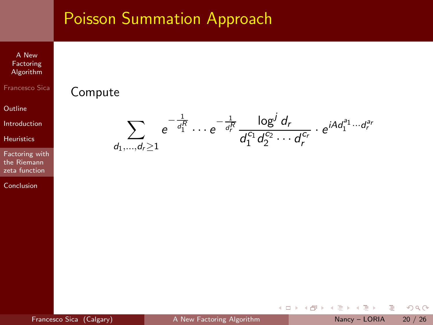A New Factoring [Algorithm](#page-0-0)

Francesco Sica

**[Outline](#page-1-0)** 

[Introduction](#page-2-0)

[Heuristics](#page-14-0)

[Factoring with](#page-22-0) the Riemann zeta function

[Conclusion](#page-46-0)

$$
\sum_{d_1,\dots,d_r\geq 1}e^{-\frac{1}{d_1^R}}\cdots e^{-\frac{1}{d_r^R}}\frac{\log^j d_r}{d_1^{c_1}d_2^{c_2}\cdots d_r^{c_r}}\cdot e^{iA d_1^{a_1}\cdots d_r^{a_r}}
$$

Compute

4 0 8

 $\rightarrow$   $\Box$ 

Þ  $\mathbf{h}$  $\prec$  $\mathbb{B}$  + B  $2Q$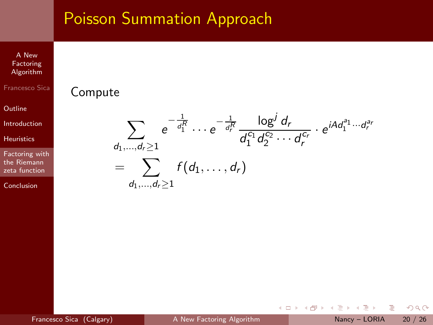A New Factoring [Algorithm](#page-0-0)

Francesco Sica

**[Outline](#page-1-0)** 

[Introduction](#page-2-0)

[Heuristics](#page-14-0)

[Factoring with](#page-22-0) the Riemann zeta function

[Conclusion](#page-46-0)

#### $\sum e$  $d_1,...,d_r > 1$  $-\frac{1}{d_1^R}$   $\dots$   $e^{-\frac{1}{d_r^R}}$   $\frac{\log^j d_r}{d_1^C d_2^C}$  $d_1^{c_1} d_2^{c_2} \cdots d_r^{c_r}$  $\cdot e^{iA d_1^{a_1} \cdots d_r^{a_r}}$  $= \sum f(d_1,\ldots,d_r)$  $d_1,...,d_r > 1$

Compute

 $OQ$ 

ミメ メラメ

4 0 8

4 n →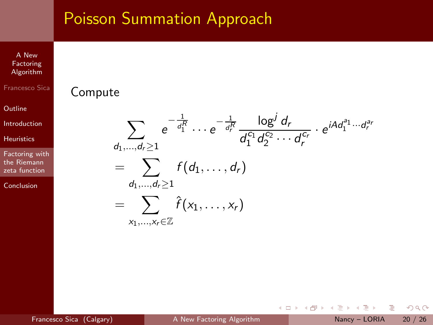A New Factoring [Algorithm](#page-0-0)

Francesco Sica

**[Outline](#page-1-0)** 

[Introduction](#page-2-0)

[Heuristics](#page-14-0)

[Factoring with](#page-22-0) the Riemann zeta function

[Conclusion](#page-46-0)

$$
\sum_{d_1,\ldots,d_r\geq 1} e^{-\frac{1}{d_1^R}} \cdots e^{-\frac{1}{d_r^R}} \frac{\log^j d_r}{d_1^{c_1} d_2^{c_2} \cdots d_r^{c_r}} \cdot e^{iA d_1^{a_1} \cdots d_r^{a_r}}
$$
\n
$$
= \sum_{d_1,\ldots,d_r\geq 1} f(d_1,\ldots,d_r)
$$
\n
$$
= \sum_{x_1,\ldots,x_r\in\mathbb{Z}} \hat{f}(x_1,\ldots,x_r)
$$

4 0 8

4 母 ト

Þ  $\mathbf{p}$  $\prec$ 

 $\triangleleft$ 

Compute

B

 $2Q$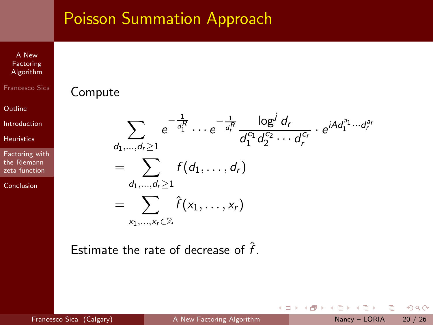A New **Factoring** [Algorithm](#page-0-0)

Francesco Sica

**[Outline](#page-1-0)** 

[Introduction](#page-2-0)

[Heuristics](#page-14-0)

[Factoring with](#page-22-0) the Riemann zeta function

[Conclusion](#page-46-0)

$$
\sum_{d_1,\dots,d_r\geq 1} e^{-\frac{1}{d_1^R}} \cdots e^{-\frac{1}{d_r^R}} \frac{\log^j d_r}{d_1^{c_1} d_2^{c_2} \cdots d_r^{c_r}} \cdot e^{iA d_1^{a_1} \cdots d_r^{a_r}}
$$
\n
$$
= \sum_{d_1,\dots,d_r\geq 1} f(d_1,\dots,d_r)
$$
\n
$$
= \sum_{x_1,\dots,x_r\in\mathbb{Z}} \hat{f}(x_1,\dots,x_r)
$$

4 0 8

 $\mathbf{b}_i$ 

b.  $\mathcal{A}$ 

Estimate the rate of decrease of  $\hat{f}$ .

Compute

 $\equiv$ Francesco Sica (Calgary) [A New Factoring Algorithm](#page-0-0) Nancy – LORIA 20 / 26

B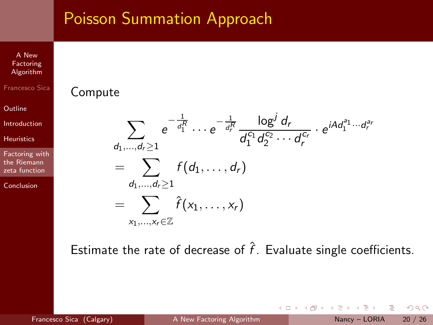A New Factoring [Algorithm](#page-0-0)

Francesco Sica

Compute

**[Outline](#page-1-0)** 

[Introduction](#page-2-0)

[Heuristics](#page-14-0)

[Factoring with](#page-22-0) the Riemann zeta function

[Conclusion](#page-46-0)

$$
\sum_{\substack{d_1,\dots,d_r \geq 1 \\ d_1,\dots,d_r \geq 1}} e^{-\frac{1}{d_1^R}} \cdots e^{-\frac{1}{d_r^R}} \frac{\log^j d_r}{d_1^{c_1} d_2^{c_2} \cdots d_r^{c_r}} \cdot e^{iA d_1^{a_1} \cdots d_r^{a_r}}
$$
\n
$$
= \sum_{\substack{d_1,\dots,d_r \geq 1 \\ \times_1,\dots,\times_r \in \mathbb{Z}}} f(d_1,\dots,d_r)
$$

Estimate the rate of decrease of  $\hat{f}$ . Evaluate single coefficients.

4 0 8

 $OQ$ 

 $\sim$  $\mathcal{A}$  $\equiv$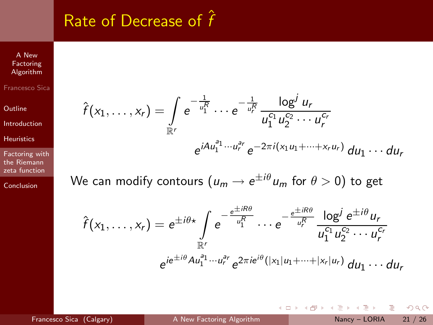# Rate of Decrease of  $\hat{f}$

Factoring [Algorithm](#page-0-0) Francesco Sica

A New

**[Outline](#page-1-0)** 

[Introduction](#page-2-0)

[Heuristics](#page-14-0)

[Factoring with](#page-22-0) the Riemann zeta function

[Conclusion](#page-46-0)

$$
\hat{f}(x_1,\ldots,x_r) = \int_{\mathbb{R}^r} e^{-\frac{1}{u_1^R}} \cdots e^{-\frac{1}{u_r^R}} \frac{\log^j u_r}{u_1^{c_1} u_2^{c_2} \cdots u_r^{c_r}}
$$
\n
$$
e^{i A u_1^{a_1} \cdots u_r^{a_r}} e^{-2\pi i (x_1 u_1 + \cdots + x_r u_r)} du_1 \cdots du_r
$$

We can modify contours  $(u_m\rightarrow e^{\pm i\theta}u_m$  for  $\theta>0)$  to get

$$
\hat{f}(x_1,\ldots,x_r) = e^{\pm i\theta x} \int_{\mathbb{R}^r} e^{-\frac{e^{\pm iR\theta}}{u_1^R}} \cdots e^{-\frac{e^{\pm iR\theta}}{u_r^R}} \frac{\log^j e^{\pm i\theta} u_r}{u_1^{c_1} u_2^{c_2} \cdots u_r^{c_r}}
$$

$$
e^{ie^{\pm i\theta} A u_1^{a_1} \cdots u_r^{a_r}} e^{2\pi i e^{i\theta} (|x_1| u_1 + \cdots + |x_r| u_r)} du_1 \cdots du_r
$$

4 0 8

 $\equiv$ 

 $2Q$ 

э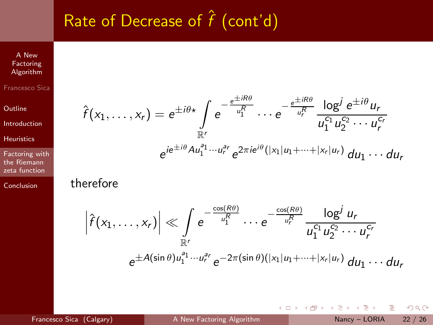# Rate of Decrease of  $\hat{f}$  (cont'd)

A New Factoring [Algorithm](#page-0-0) Francesco Sica

**[Outline](#page-1-0)** 

[Introduction](#page-2-0)

[Heuristics](#page-14-0)

[Factoring with](#page-22-0) the Riemann zeta function

[Conclusion](#page-46-0)

$$
\hat{f}(x_1,\ldots,x_r) = e^{\pm i\theta x} \int_{\mathbb{R}^r} e^{-\frac{e^{\pm iR\theta}}{u_1^R}} \cdots e^{-\frac{e^{\pm iR\theta}}{u_r^R}} \frac{\log^j e^{\pm i\theta} u_r}{u_1^{c_1} u_2^{c_2} \cdots u_r^{c_r}}
$$

$$
e^{ie^{\pm i\theta} A u_1^{a_1} \cdots u_r^{a_r}} e^{2\pi i e^{i\theta} (|x_1| u_1 + \cdots + |x_r| u_r)} du_1 \cdots du_r
$$

#### therefore

$$
\left|\hat{f}(x_1,\ldots,x_r)\right| \ll \int\limits_{\mathbb{R}^r} e^{-\frac{\cos(R\theta)}{u_1^R}}\cdots e^{-\frac{\cos(R\theta)}{u_r^R}}\frac{\log^j u_r}{u_1^{c_1}u_2^{c_2}\cdots u_r^{c_r}}
$$

$$
e^{\pm A(\sin\theta)u_1^{a_1}\cdots u_r^{a_r}}e^{-2\pi(\sin\theta)(|x_1|u_1+\cdots+|x_r|u_r)} du_1\cdots du_r
$$

4 0 8

 $\rightarrow$   $\Box$ 

Þ  $\mathbf{h}$  $\prec$ 

 $\mathbb{B}$  + Francesco Sica (Calgary) [A New Factoring Algorithm](#page-0-0) Nancy – LORIA 22 / 26

B

 $2Q$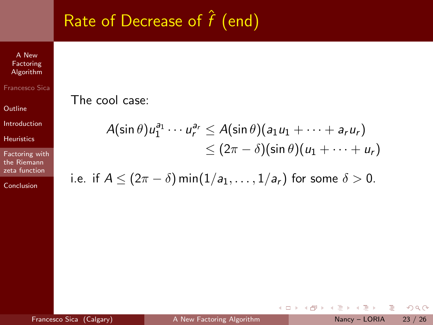# Rate of Decrease of  $\hat{f}$  (end)

A New Factoring [Algorithm](#page-0-0)

Francesco Sica

**[Outline](#page-1-0)** 

[Introduction](#page-2-0)

[Heuristics](#page-14-0)

[Factoring with](#page-22-0) the Riemann zeta function

[Conclusion](#page-46-0)

The cool case:

$$
A(\sin \theta)u_1^{a_1}\cdots u_r^{a_r} \leq A(\sin \theta)(a_1u_1 + \cdots + a_ru_r) \leq (2\pi - \delta)(\sin \theta)(u_1 + \cdots + u_r)
$$

i.e. if 
$$
A \leq (2\pi - \delta) \min(1/a_1, \ldots, 1/a_r)
$$
 for some  $\delta > 0$ .

4 0 8

→ 母→

Þ  $\mathbf{h}$  $\prec$  $\mathbb{B}$  + B  $2Q$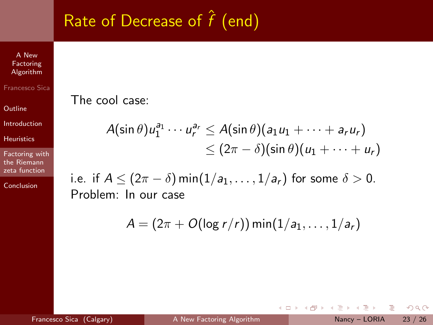# Rate of Decrease of  $\hat{f}$  (end)

A New Factoring [Algorithm](#page-0-0)

Francesco Sica

**[Outline](#page-1-0)** 

[Introduction](#page-2-0)

[Heuristics](#page-14-0)

[Factoring with](#page-22-0) the Riemann zeta function

[Conclusion](#page-46-0)

The cool case:

$$
A(\sin \theta)u_1^{a_1}\cdots u_r^{a_r} \leq A(\sin \theta)(a_1u_1 + \cdots + a_ru_r) \leq (2\pi - \delta)(\sin \theta)(u_1 + \cdots + u_r)
$$

i.e. if  $A \leq (2\pi - \delta) \min(1/a_1, \ldots, 1/a_r)$  for some  $\delta > 0$ . Problem: In our case

$$
A=(2\pi+O(\log r/r))\min(1/a_1,\ldots,1/a_r)
$$

4 0 8

 $\leftarrow$   $\leftarrow$   $\leftarrow$ 

 $\mathbb{B}$  + Francesco Sica (Calgary) [A New Factoring Algorithm](#page-0-0) Nancy – LORIA 23 / 26

B

 $OQ$ 

Ξ÷.  $\sim$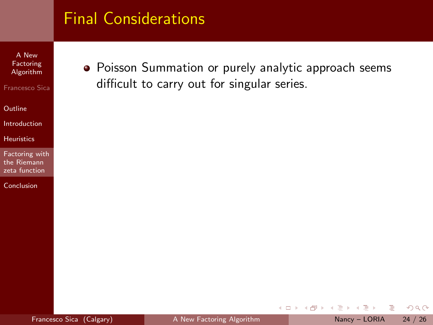A New Factoring [Algorithm](#page-0-0)

Francesco Sica

**[Outline](#page-1-0)** 

[Introduction](#page-2-0)

[Heuristics](#page-14-0)

[Factoring with](#page-22-0) the Riemann zeta function

[Conclusion](#page-46-0)

Poisson Summation or purely analytic approach seems difficult to carry out for singular series.

不自下

B

 $\equiv$ 

 $\sim$  $\mathcal{A}$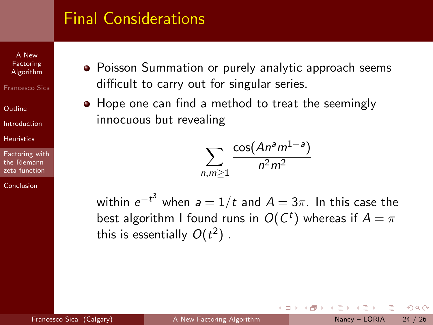A New Factoring [Algorithm](#page-0-0)

Francesco Sica

[Outline](#page-1-0)

[Introduction](#page-2-0)

**[Heuristics](#page-14-0)** 

[Factoring with](#page-22-0) the Riemann zeta function

**[Conclusion](#page-46-0)** 

- **•** Poisson Summation or purely analytic approach seems difficult to carry out for singular series.
- Hope one can find a method to treat the seemingly innocuous but revealing

$$
\sum_{n,m\geq 1}\frac{\cos(An^am^{1-a})}{n^2m^2}
$$

within  $e^{-t^3}$  when  $a=1/t$  and  $A=3\pi$ . In this case the best algorithm I found runs in  $O(C^t)$  whereas if  $A=\pi$ this is essentially  $O(t^2)$  .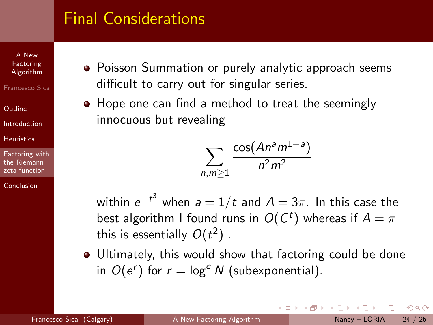A New Factoring [Algorithm](#page-0-0)

Francesco Sica

[Outline](#page-1-0)

[Introduction](#page-2-0)

**[Heuristics](#page-14-0)** 

[Factoring with](#page-22-0) the Riemann zeta function

[Conclusion](#page-46-0)

- **•** Poisson Summation or purely analytic approach seems difficult to carry out for singular series.
- Hope one can find a method to treat the seemingly innocuous but revealing

$$
\sum_{n,m\geq 1}\frac{\cos(An^am^{1-a})}{n^2m^2}
$$

within  $e^{-t^3}$  when  $a=1/t$  and  $A=3\pi$ . In this case the best algorithm I found runs in  $O(C^t)$  whereas if  $A=\pi$ this is essentially  $O(t^2)$  .

Ultimately, this would show that factoring could be done in  $O(e^r)$  for  $r = \log^c N$  (subexponential).

 $QQ$ 

The South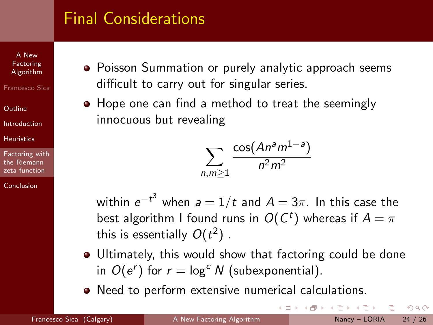A New Factoring [Algorithm](#page-0-0)

Francesco Sica

[Outline](#page-1-0)

[Introduction](#page-2-0)

**[Heuristics](#page-14-0)** 

[Factoring with](#page-22-0) the Riemann zeta function

[Conclusion](#page-46-0)

- **•** Poisson Summation or purely analytic approach seems difficult to carry out for singular series.
- Hope one can find a method to treat the seemingly innocuous but revealing

$$
\sum_{n,m\geq 1}\frac{\cos(An^am^{1-a})}{n^2m^2}
$$

within  $e^{-t^3}$  when  $a=1/t$  and  $A=3\pi$ . In this case the best algorithm I found runs in  $O(C^t)$  whereas if  $A=\pi$ this is essentially  $O(t^2)$  .

Ultimately, this would show that factoring could be done in  $O(e^r)$  for  $r = \log^c N$  (subexponential).

**← ロ ▶ → 何 ▶ →** 

Need to perform extensive numerical calculations.

 $QQ$ 

ミメイヨメ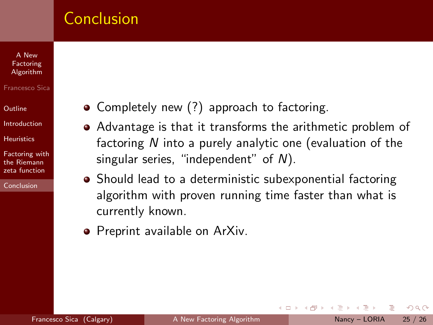### **Conclusion**

#### A New Factoring [Algorithm](#page-0-0)

#### Francesco Sica

[Outline](#page-1-0)

[Introduction](#page-2-0)

**[Heuristics](#page-14-0)** 

[Factoring with](#page-22-0) the Riemann zeta function

[Conclusion](#page-46-0)

- Completely new (?) approach to factoring.
- Advantage is that it transforms the arithmetic problem of factoring N into a purely analytic one (evaluation of the singular series, "independent" of N).
- Should lead to a deterministic subexponential factoring algorithm with proven running time faster than what is currently known.

<span id="page-46-0"></span>4 D F

**•** Preprint available on ArXiv.